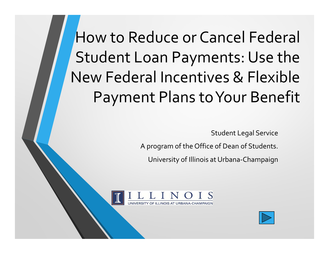How to Reduce or Cancel Federal Student Loan Payments: Use the New Federal Incentives & Flexible Payment Plans to Your Benefit

Student Legal Service

A program of the Office of Dean of Students.

University of Illinois at Urbana-Champaign



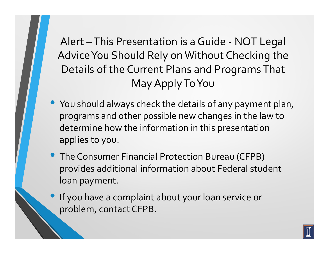Alert – This Presentation is a Guide - NOT Legal Advice You Should Rely on Without Checking the Details of the Current Plans and Programs That May Apply To You

- $\bullet$ You should always check the details of any payment plan, programs and other possible new changes in the law to determine how the information in this presentation applies to you.
- The Consumer Financial Protection Bureau (CFPB) provides additional information about Federal student loan payment.
- If you have a complaint about your loan service or problem, contact CFPB.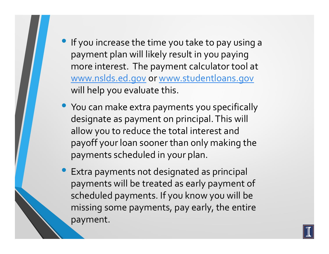• If you increase the time you take to pay using a payment plan will likely result in you paying more interest. The payment calculator tool at www.nslds.ed.gov or www.studentloans.gov will help you evaluate this.

- You can make extra payments you specifically designate as payment on principal. This will allow you to reduce the total interest and payoff your loan sooner than only making the payments scheduled in your plan.
- $\bullet$  Extra payments not designated as principal payments will be treated as early payment of scheduled payments. If you know you will be missing some payments, pay early, the entire payment.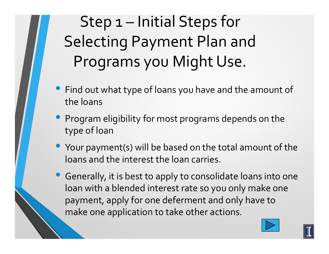Step 1 – Initial Steps for Selecting Payment Plan and Programs you Might Use.

- $\bullet$  Find out what type of loans you have and the amount of the loans
- Program eligibility for most programs depends on the type of loan
- Your payment(s) will be based on the total amount of the loans and the interest the loan carries.
- Generally, it is best to apply to consolidate loans into one loan with a blended interest rate so you only make one payment, apply for one deferment and only have to make one application to take other actions.



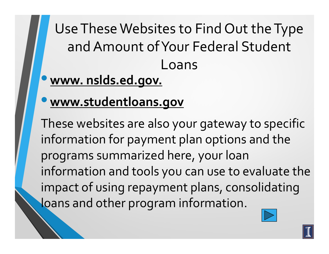Use These Websites to Find Out the Type and Amount of Your Federal Student Loans

- $\bullet$ **www. nslds.ed.gov.**
- $\bullet$ **www.studentloans.gov**

These websites are also your gateway to specific information for payment plan options and the programs summarized here, your loan information and tools you can use to evaluate the impact of using repayment plans, consolidating loans and other program information.

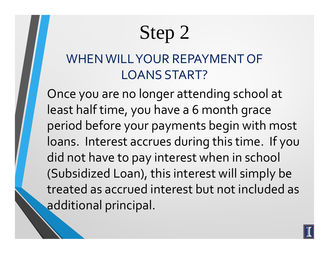# Step 2

#### WHEN WILL YOUR REPAYMENT OF LOANS START?

Once you are no longer attending school at least half time, you have a 6 month grace period before your payments begin with most loans. Interest accrues during this time. If you did not have to pay interest when in school (Subsidized Loan), this interest will simply be treated as accrued interest but not included as additional principal.

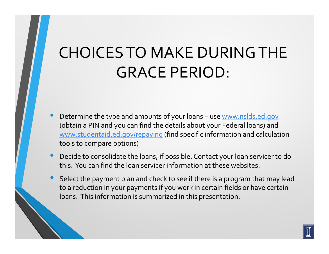## CHOICES TO MAKE DURING THE GRACE PERIOD:

- $\bullet$  Determine the type and amounts of your loans – use www.nslds.ed.gov (obtain a PIN and you can find the details about your Federal loans) and www.studentaid.ed.gov/repaying (find specific information and calculation tools to compare options)
- $\bullet$  Decide to consolidate the loans, if possible. Contact your loan servicer to do this. You can find the loan servicer information at these websites.
- $\bullet$  Select the payment plan and check to see if there is a program that may lead to a reduction in your payments if you work in certain fields or have certain loans. This information is summarized in this presentation.

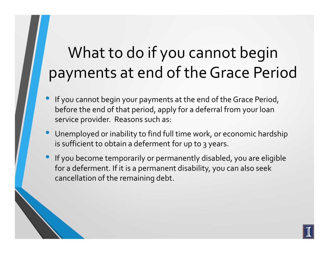### What to do if you cannot begin payments at end of the Grace Period

- $\bullet$  If you cannot begin your payments at the end of the Grace Period, before the end of that period, apply for a deferral from your loan service provider. Reasons such as:
- $\bullet$  Unemployed or inability to find full time work, or economic hardship is sufficient to obtain a deferment for up to 3 years.
- $\bullet$  If you become temporarily or permanently disabled, you are eligible for a deferment. If it is a permanent disability, you can also seek cancellation of the remaining debt.

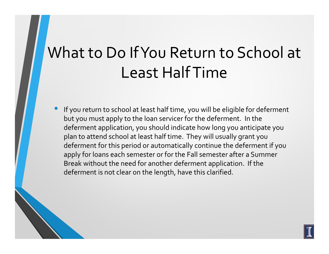### What to Do If You Return to School at Least Half Time

 $\bullet$  If you return to school at least half time, you will be eligible for deferment but you must apply to the loan servicer for the deferment. In the deferment application, you should indicate how long you anticipate you plan to attend school at least half time. They will usually grant you deferment for this period or automatically continue the deferment if you apply for loans each semester or for the Fall semester after a Summer Break without the need for another deferment application. If the deferment is not clear on the length, have this clarified.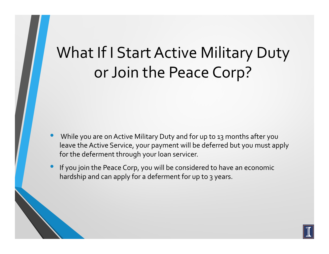### What If I Start Active Military Duty or Join the Peace Corp?

- $\bullet$  While you are on Active Military Duty and for up to 13 months after you leave the Active Service, your payment will be deferred but you must apply for the deferment through your loan servicer.
- $\bullet$  If you join the Peace Corp, you will be considered to have an economic hardship and can apply for a deferment for up to 3 years.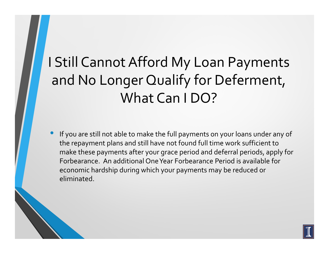### I Still Cannot Afford My Loan Payments and No Longer Qualify for Deferment, What Can I DO?

 $\bullet$  If you are still not able to make the full payments on your loans under any of the repayment plans and still have not found full time work sufficient to make these payments after your grace period and deferral periods, apply for Forbearance. An additional One Year Forbearance Period is available for economic hardship during which your payments may be reduced or eliminated.

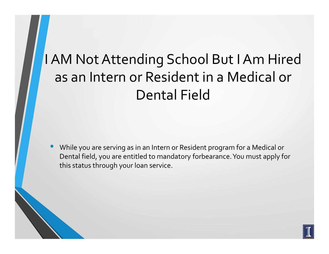### I AM Not Attending School But I Am Hired as an Intern or Resident in a Medical or Dental Field

 $\bullet$  While you are serving as in an Intern or Resident program for a Medical or Dental field, you are entitled to mandatory forbearance. You must apply for this status through your loan service.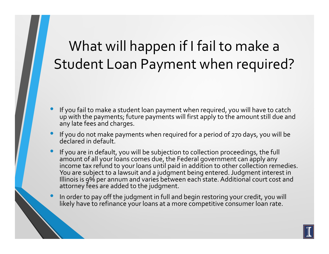#### What will happen if I fail to make a Student Loan Payment when required?

- • If you fail to make a student loan payment when required, you will have to catch up with the payments; future payments will first apply to the amount still due and any late fees and charges.
- $\bullet$  If you do not make payments when required for a period of 270 days, you will be declared in default.
- •If you are in default, you will be subjection to collection proceedings, the full in the full seems of all the substitutions. amount of all your loans comes due, the Federal government can apply any income tax refund to your loans until paid in addition to other collection remedies. You are subject to a lawsuit and a judgment being entered. Judgment interest in Illinois is 9% per annum and varies between each state. Additional court cost and attorney fees are added to the judgment.
	- In order to pay off the judgment in full and begin restoring your credit, you will likely have to refinance your loans at a more competitive consumer loan rate.

 $\bullet$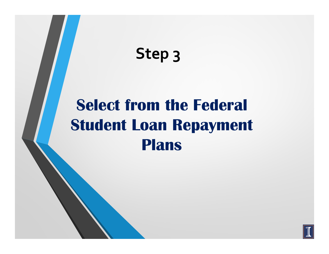# **Step 3**

# **Select from the Federal Student Loan Repayment Plans**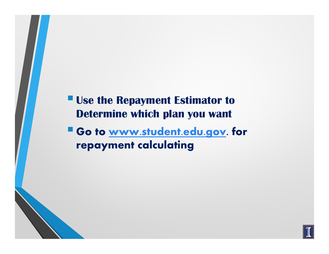**Use the Repayment Estimator to Determine which plan you want** 

**Go to www.student.edu.gov. for repayment calculating**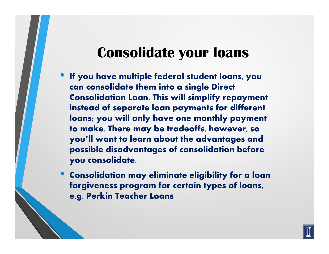#### **Consolidate your loans**

- $\bullet$  **If you have multiple federal student loans, you can consolidate them into a single Direct Consolidation Loan. This will simplify repayment instead of separate loan payments for different loans; you will only have one monthly payment to make. There may be tradeoffs, however, so you'll want to learn about the advantages and possible disadvantages of consolidation before you consolidate.**
- $\bullet$  **Consolidation may eliminate eligibility for a loan forgiveness program for certain types of loans, e.g. Perkin Teacher Loans**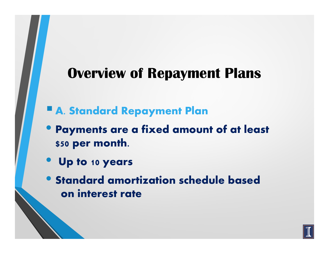#### **Overview of Repayment Plans**

- **A. Standard Repayment Plan**
- **Payments are a fixed amount of at least \$50 per month.**
- $\bullet$ **Up to 10 years**
- **Standard amortization schedule based on interest rate**

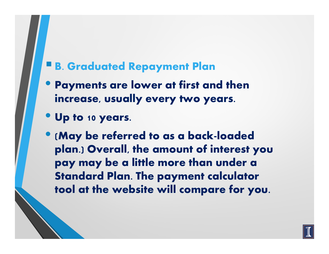### **B. Graduated Repayment Plan**

- **Payments are lower at first and then increase, usually every two years.**
- **Up to 10 years.**

• **(May be referred to as a back-loaded plan.) Overall, the amount of interest you pay may be a little more than under a Standard Plan. The payment calculator tool at the website will compare for you.**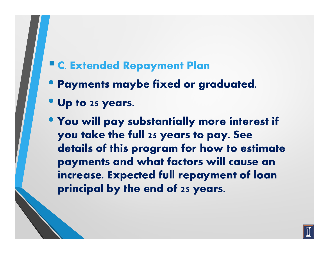### **C. Extended Repayment Plan**

- **Payments maybe fixed or graduated.**
- **Up to 25 years.**
- **You will pay substantially more interest if you take the full 25 years to pay. See details of this program for how to estimate payments and what factors will cause an increase. Expected full repayment of loan principal by the end of 25 years.**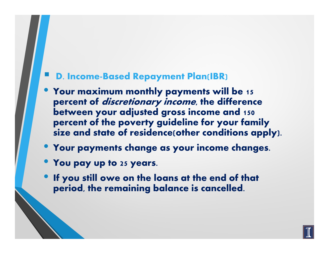#### **D. Income-Based Repayment Plan(IBR)**

- **Your maximum monthly payments will be 15 percent of discretionary income, the difference between your adjusted gross income and 150 percent of the poverty guideline for your family size and state of residence(other conditions apply).**
- **Your payments change as your income changes.**
- **You pay up to 25 years.**
- **If you still owe on the loans at the end of that period, the remaining balance is cancelled.**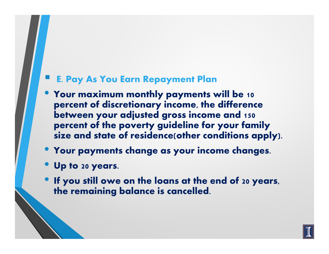#### **E. Pay As You Earn Repayment Plan**

- **Your maximum monthly payments will be 10 percent of discretionary income, the difference between your adjusted gross income and 150 percent of the poverty guideline for your family size and state of residence(other conditions apply).**
- **Your payments change as your income changes.**
- **Up to 20 years.**
- **If you still owe on the loans at the end of 20 years, the remaining balance is cancelled.**

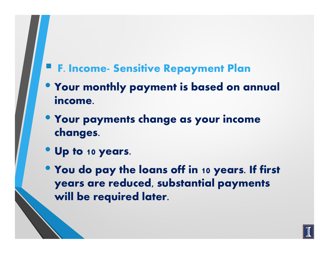### **F. Income- Sensitive Repayment Plan**

- **Your monthly payment is based on annual income.**
- **Your payments change as your income changes.**
- **Up to 10 years.**
- **You do pay the loans off in 10 years. If first years are reduced, substantial payments will be required later.**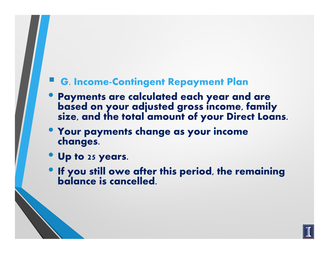#### **G. Income-Contingent Repayment Plan**

- **Payments are calculated each year and are based on your adjusted gross income, family size, and the total amount of your Direct Loans.**
- **Your payments change as your income changes.**
- **Up to 25 years.**
- **If you still owe after this period, the remaining balance is cancelled.**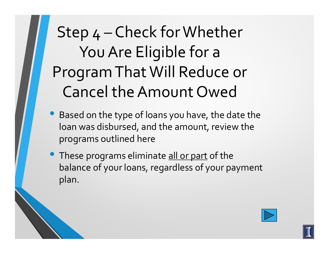# Step 4 – Check for Whether You Are Eligible for a Program That Will Reduce or Cancel the Amount Owed

- Based on the type of loans you have, the date the loan was disbursed, and the amount, review the programs outlined here
- **These programs eliminate <u>all or part</u> of the** balance of your loans, regardless of your payment plan.

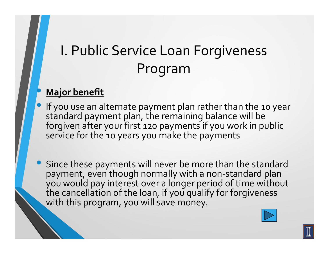#### •**Major benefit**

- $\bullet$  If you use an alternate payment plan rather than the 10 year standard payment plan, the remaining balance will be forgiven after your first 120 payments if you work in public service for the 10 years you make the payments
- $\bullet$  Since these payments will never be more than the standard payment, even though normally with a non-standard plan you would pay interest over a longer period of time without the cancellation of the loan, if you qualify for forgiveness with this program, you will save money.

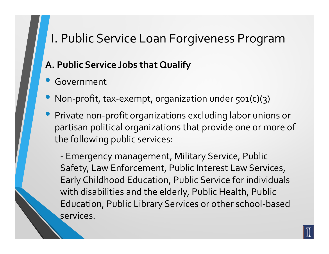#### **A. Public Service Jobs that Qualify**

- $\bullet$ Government
- $\bullet$ Non-profit, tax-exempt, organization under 501(c)(3 )
- $\bullet$  Private non-profit organizations excluding labor unions or partisan political organizations that provide one or more of the following public services:

 Emergency management, Military Service, Public Safety, Law Enforcement, Public Interest Law Services, Early Childhood Education, Public Service for individuals with disabilities and the elderly, Public Health, Public Education, Public Library Services or other school-based services.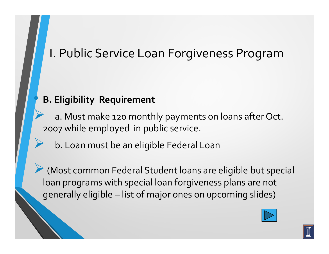#### **B. Eligibility Requirement**

•

 $\blacktriangleright$ 

 $\blacktriangleright$  a. Must make 120 monthly payments on loans after Oct. 2007 while employed in public service.

b. Loan must be an eligible Federal Loan

-(Most common Federal Student loans are eligible but special loan programs with special loan forgiveness plans are not generally eligible – list of major ones on upcoming slides)

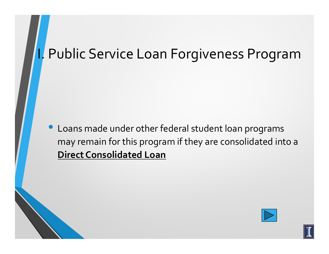$\bullet$  Loans made under other federal student loan programs may remain for this program if they are consolidated into a **Direct Consolidated Loan**



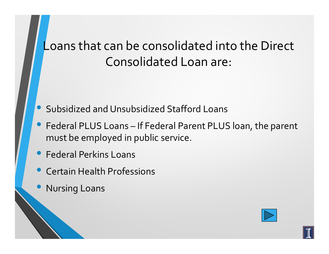#### Loans that can be consolidated into the Direct Consolidated Loan are:

- $\bullet$ Subsidized and Unsubsidized Stafford Loans
- $\bullet$  Federal PLUS Loans – If Federal Parent PLUS loan, the parent must be employed in public service.
- Federal Perkins Loans
- $\bullet$ Certain Health Professions
- $\bullet$ Nursing Loans

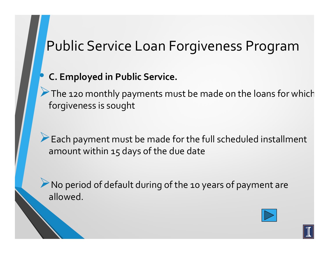#### •**C. Employed in Public Service.**

The 120 monthly payments must be made on the loans for which forgiveness is sought

Each payment must be made for the full scheduled installment amount within 15 days of the due date

A No period of default during of the 10 years of payment are allowed.

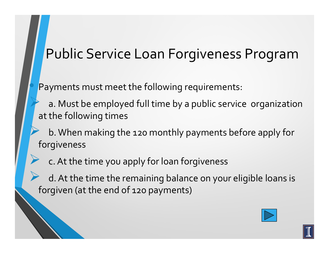Payments must meet the following requirements:

•

 $\blacktriangleright$ 

 $\blacktriangleright$  a. Must be employed full time by a public service organization at the following times

 $\blacktriangleright$  b. When making the 120 monthly payments before apply for forgiveness

c. At the time you apply for loan forgiveness

 $\blacktriangleright$  d. At the time the remaining balance on your eligible loans is forgiven (at the end of 120 payments)

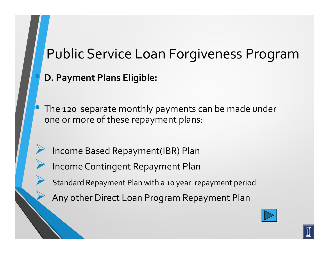**D. Payment Plans Eligible:**

 $\bullet$ 

 $\blacktriangleright$ 

 $\blacktriangleright$ 

 $\blacktriangleright$ 

 $\blacktriangleright$ 

 The 120 separate monthly payments can be made under one or more of these repayment plans:

Income Based Repayment(IBR) Plan

Income Contingent Repayment Plan

Standard Repayment Plan with a 10 year repayment period

Any other Direct Loan Program Repayment Plan

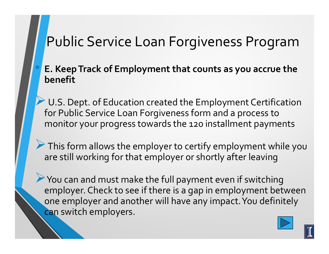#### **E. Keep Track of Employment that counts as you accrue the benefit**

 $\blacktriangleright$ U.S. Dept. of Education created the Employment Certification for Public Service Loan Forgiveness form and a process to monitor your progress towards the 120 installment payments

If This form allows the employer to certify employment while you are still working for that employer or shortly after leaving

-You can and must make the full payment even if switching employer. Check to see if there is a gap in employment between one employer and another will have any impact. You definitely can switch employers.

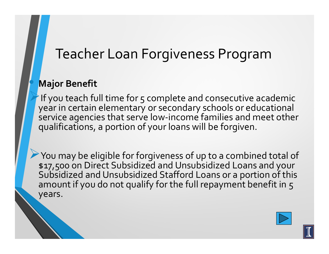#### **Major Benefit**

 $\bullet$ 

 $\blacktriangleright$ If you teach full time for 5 complete and consecutive academic year in certain elementary or secondary schools or educational service agencies that serve low-income families and meet other qualifications, a portion of your loans will be forgiven.

-You may be eligible for forgiveness of up to a combined total of \$17,500 on Direct Subsidized and Unsubsidized Loans and your Subsidized and Unsubsidized Stafford Loans or a portion of this amount if you do not qualify for the full repayment benefit in 5 years.

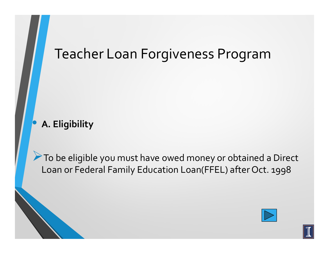#### $\bullet$ **A. Eligibility**

To be eligible you must have owed money or obtained a Direct Loan or Federal Family Education Loan(FFEL) after Oct. 1998

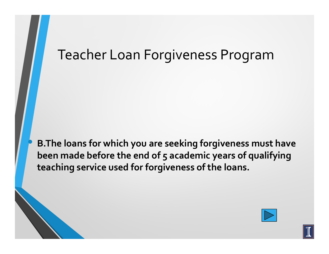**B.The loans for which you are seeking forgiveness must have been made before the end of 5 academic years of qualifying teaching service used for forgiveness of the loans.**

**•** 

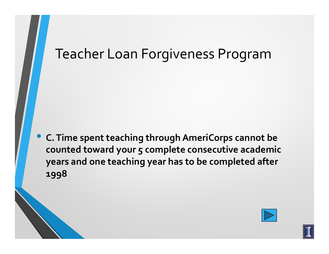$\bullet$  **C. Time spent teaching through AmeriCorps cannot be counted toward your 5 complete consecutive academic years and one teaching year has to be completed after 1998**

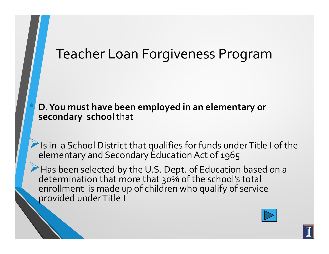**D. You must have been employed in an elementary or secondary school** that

Is in a School District that qualifies for funds under Title I of the elementary and Secondary Education Act of 1965

Has been selected by the U.S. Dept. of Education based on a determination that more that 30% of the school's total enrollment is made up of children who qualify of service provided under Title I

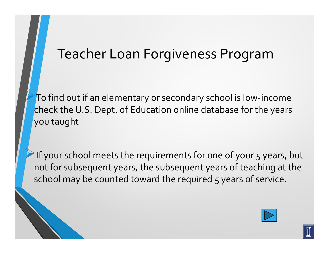$\blacktriangleright$ To find out if an elementary or secondary school is low-income check the U.S. Dept. of Education online database for the years you taught

 $\blacktriangleright$ If your school meets the requirements for one of your 5 years, but not for subsequent years, the subsequent years of teaching at the school may be counted toward the required 5 years of service.

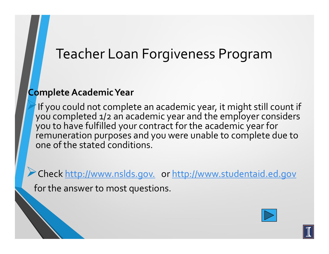#### **Complete Academic Year**

If you could not complete an academic year, it might still count if you completed 1/2 an academic year and the employer considers you to have fulfilled your contract for the academic year for remuneration purposes and you were unable to complete due to one of the stated conditions.

-Check http://www.nslds.gov. or http://www.studentaid.ed.gov

for the answer to most questions.

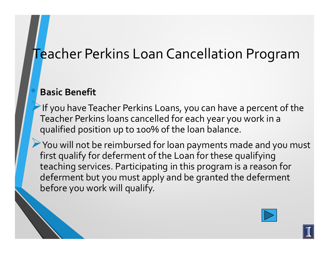#### Teacher Perkins Loan Cancellation Program

#### **Basic Benefit**

 $\blacktriangleright$ If you have Teacher Perkins Loans, you can have a percent of the Teacher Perkins loans cancelled for each year you work in a qualified position up to 100% of the loan balance.

You will not be reimbursed for loan payments made and you must first qualify for deferment of the Loan for these qualifying teaching services. Participating in this program is a reason for deferment but you must apply and be granted the deferment before you work will qualify.

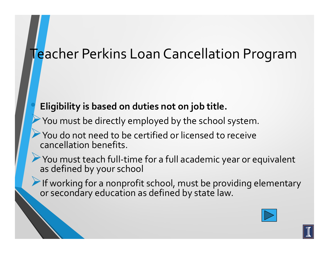#### Teacher Perkins Loan Cancellation Program

#### **Eligibility is based on duties not on job title.**

 $\bigodot$ 

- $\blacktriangleright$ You must be directly employed by the school system.
- $\blacktriangleright$ You do not need to be certified or licensed to receive cancellation benefits.
- -You must teach full-time for a full academic year or equivalent as defined by your school
- If working for a nonprofit school, must be providing elementary or secondary education as defined by state law.



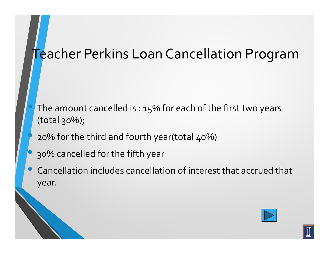#### Teacher Perkins Loan Cancellation Program

- The amount cancelled is : 15% for each of the first two years (total 30%);
- 20% for the third and fourth year(total 40%)
- $\bullet$ 30% cancelled for the fifth year

 $\bullet$ 

 $\bullet$  Cancellation includes cancellation of interest that accrued that year.

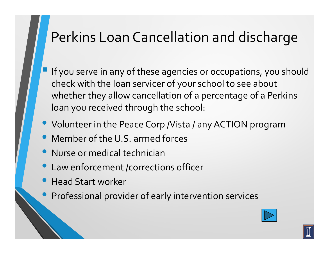#### Perkins Loan Cancellation and discharge

- If you serve in any of these agencies or occupations, you should check with the loan servicer of your school to see about whether they allow cancellation of a percentage of a Perkins loan you received through the school:
- $\bullet$ Volunteer in the Peace Corp /Vista / any ACTION program
- $\bullet$ Member of the U.S. armed forces
- $\bullet$ Nurse or medical technician
- $\bullet$ Law enforcement /corrections officer
- $\bullet$ Head Start worker
- $\bullet$ **•** Professional provider of early intervention services

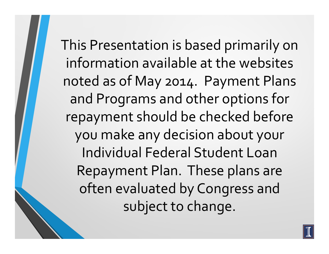This Presentation is based primarily on information available at the websites noted as of May 2014. Payment Plans and Programs and other options for repayment should be checked before you make any decision about your Individual Federal Student Loan Repayment Plan. These plans are often evaluated by Congress and subject to change.